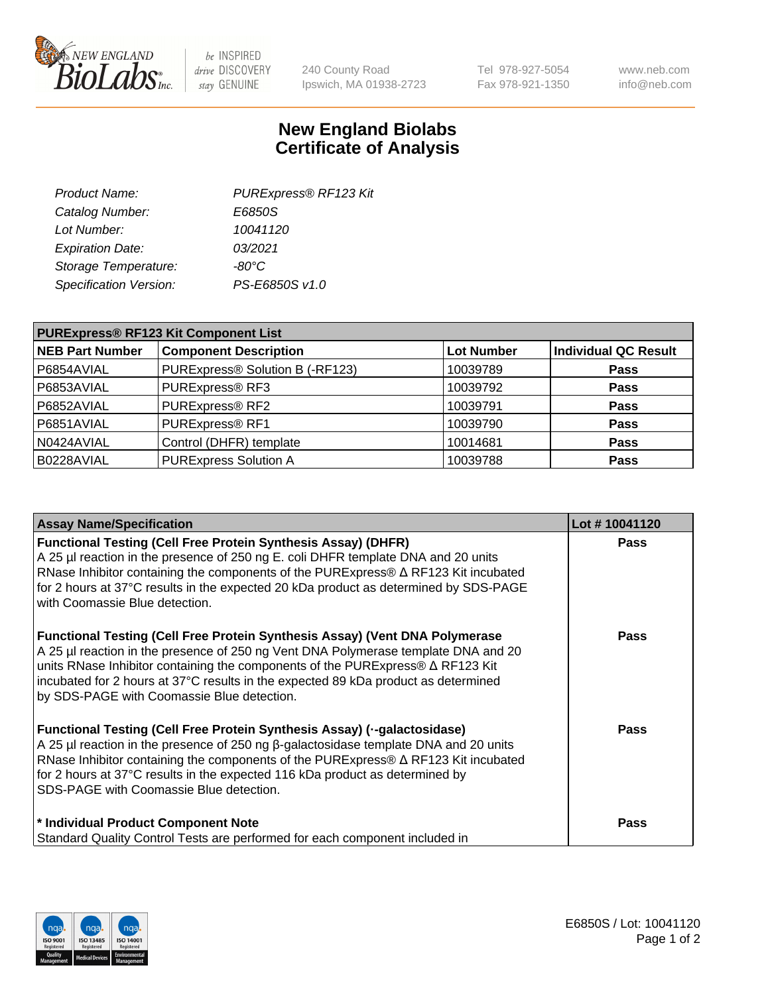

 $be$  INSPIRED drive DISCOVERY stay GENUINE

240 County Road Ipswich, MA 01938-2723 Tel 978-927-5054 Fax 978-921-1350 www.neb.com info@neb.com

## **New England Biolabs Certificate of Analysis**

| Product Name:           | PURExpress® RF123 Kit |
|-------------------------|-----------------------|
| Catalog Number:         | E6850S                |
| Lot Number:             | 10041120              |
| <b>Expiration Date:</b> | 03/2021               |
| Storage Temperature:    | $-80^{\circ}$ C       |
| Specification Version:  | PS-E6850S v1.0        |
|                         |                       |

| <b>PURExpress® RF123 Kit Component List</b> |                                 |                   |                             |  |
|---------------------------------------------|---------------------------------|-------------------|-----------------------------|--|
| <b>NEB Part Number</b>                      | <b>Component Description</b>    | <b>Lot Number</b> | <b>Individual QC Result</b> |  |
| P6854AVIAL                                  | PURExpress® Solution B (-RF123) | 10039789          | <b>Pass</b>                 |  |
| P6853AVIAL                                  | PURExpress® RF3                 | 10039792          | <b>Pass</b>                 |  |
| P6852AVIAL                                  | PURExpress® RF2                 | 10039791          | <b>Pass</b>                 |  |
| P6851AVIAL                                  | PURExpress® RF1                 | 10039790          | <b>Pass</b>                 |  |
| N0424AVIAL                                  | Control (DHFR) template         | 10014681          | <b>Pass</b>                 |  |
| B0228AVIAL                                  | <b>PURExpress Solution A</b>    | 10039788          | <b>Pass</b>                 |  |

| <b>Assay Name/Specification</b>                                                                                                                                                                                                                                                                                                                                                                 | Lot #10041120 |
|-------------------------------------------------------------------------------------------------------------------------------------------------------------------------------------------------------------------------------------------------------------------------------------------------------------------------------------------------------------------------------------------------|---------------|
| <b>Functional Testing (Cell Free Protein Synthesis Assay) (DHFR)</b><br>A 25 µl reaction in the presence of 250 ng E. coli DHFR template DNA and 20 units<br>RNase Inhibitor containing the components of the PURExpress® ∆ RF123 Kit incubated<br>for 2 hours at 37°C results in the expected 20 kDa product as determined by SDS-PAGE<br>with Coomassie Blue detection.                       | <b>Pass</b>   |
| Functional Testing (Cell Free Protein Synthesis Assay) (Vent DNA Polymerase<br>A 25 µl reaction in the presence of 250 ng Vent DNA Polymerase template DNA and 20<br>units RNase Inhibitor containing the components of the PURExpress® ∆ RF123 Kit<br>incubated for 2 hours at 37°C results in the expected 89 kDa product as determined<br>by SDS-PAGE with Coomassie Blue detection.         | <b>Pass</b>   |
| Functional Testing (Cell Free Protein Synthesis Assay) (--galactosidase)<br>A 25 µl reaction in the presence of 250 ng $\beta$ -galactosidase template DNA and 20 units<br>RNase Inhibitor containing the components of the PURExpress® $\Delta$ RF123 Kit incubated<br>for 2 hours at 37°C results in the expected 116 kDa product as determined by<br>SDS-PAGE with Coomassie Blue detection. | <b>Pass</b>   |
| * Individual Product Component Note<br>Standard Quality Control Tests are performed for each component included in                                                                                                                                                                                                                                                                              | <b>Pass</b>   |